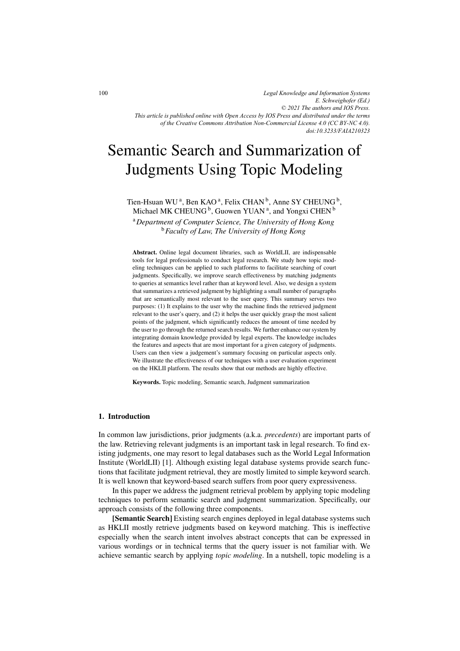*Legal Knowledge and Information Systems E. Schweighofer (Ed.) © 2021 The authors and IOS Press. This article is published online with Open Access by IOS Press and distributed under the terms of the Creative Commons Attribution Non-Commercial License 4.0 (CC BY-NC 4.0). doi:10.3233/FAIA210323*

# Semantic Search and Summarization of Judgments Using Topic Modeling

Tien-Hsuan WU<sup>a</sup>, Ben KAO<sup>a</sup>, Felix CHAN<sup>b</sup>, Anne SY CHEUNG<sup>b</sup>, Michael MK CHEUNG  $^{\rm b}$ , Guowen YUAN  $^{\rm a}$ , and Yongxi CHEN  $^{\rm b}$ 

<sup>a</sup>*Department of Computer Science, The University of Hong Kong* <sup>b</sup>*Faculty of Law, The University of Hong Kong*

Abstract. Online legal document libraries, such as WorldLII, are indispensable tools for legal professionals to conduct legal research. We study how topic modeling techniques can be applied to such platforms to facilitate searching of court judgments. Specifically, we improve search effectiveness by matching judgments to queries at semantics level rather than at keyword level. Also, we design a system that summarizes a retrieved judgment by highlighting a small number of paragraphs that are semantically most relevant to the user query. This summary serves two purposes: (1) It explains to the user why the machine finds the retrieved judgment relevant to the user's query, and (2) it helps the user quickly grasp the most salient points of the judgment, which significantly reduces the amount of time needed by the user to go through the returned search results. We further enhance our system by integrating domain knowledge provided by legal experts. The knowledge includes the features and aspects that are most important for a given category of judgments. Users can then view a judgement's summary focusing on particular aspects only. We illustrate the effectiveness of our techniques with a user evaluation experiment on the HKLII platform. The results show that our methods are highly effective.

Keywords. Topic modeling, Semantic search, Judgment summarization

## 1. Introduction

In common law jurisdictions, prior judgments (a.k.a. *precedents*) are important parts of the law. Retrieving relevant judgments is an important task in legal research. To find existing judgments, one may resort to legal databases such as the World Legal Information Institute (WorldLII) [1]. Although existing legal database systems provide search functions that facilitate judgment retrieval, they are mostly limited to simple keyword search. It is well known that keyword-based search suffers from poor query expressiveness.

In this paper we address the judgment retrieval problem by applying topic modeling techniques to perform semantic search and judgment summarization. Specifically, our approach consists of the following three components.

[Semantic Search] Existing search engines deployed in legal database systems such as HKLII mostly retrieve judgments based on keyword matching. This is ineffective especially when the search intent involves abstract concepts that can be expressed in various wordings or in technical terms that the query issuer is not familiar with. We achieve semantic search by applying *topic modeling*. In a nutshell, topic modeling is a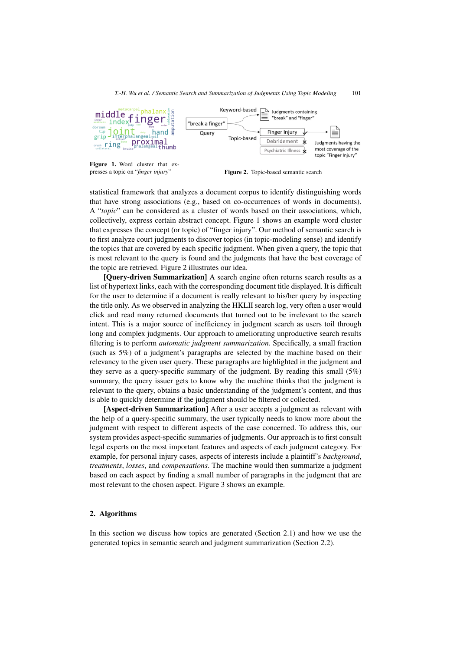

Figure 1. Word cluster that expresses a topic on "*finger injury*" **Figure 2.** Topic-based semantic search

statistical framework that analyzes a document corpus to identify distinguishing words that have strong associations (e.g., based on co-occurrences of words in documents). A "*topic*" can be considered as a cluster of words based on their associations, which, collectively, express certain abstract concept. Figure 1 shows an example word cluster that expresses the concept (or topic) of "finger injury". Our method of semantic search is to first analyze court judgments to discover topics (in topic-modeling sense) and identify the topics that are covered by each specific judgment. When given a query, the topic that is most relevant to the query is found and the judgments that have the best coverage of the topic are retrieved. Figure 2 illustrates our idea.

[Query-driven Summarization] A search engine often returns search results as a list of hypertext links, each with the corresponding document title displayed. It is difficult for the user to determine if a document is really relevant to his/her query by inspecting the title only. As we observed in analyzing the HKLII search log, very often a user would click and read many returned documents that turned out to be irrelevant to the search intent. This is a major source of inefficiency in judgment search as users toil through long and complex judgments. Our approach to ameliorating unproductive search results filtering is to perform *automatic judgment summarization*. Specifically, a small fraction (such as 5%) of a judgment's paragraphs are selected by the machine based on their relevancy to the given user query. These paragraphs are highlighted in the judgment and they serve as a query-specific summary of the judgment. By reading this small (5%) summary, the query issuer gets to know why the machine thinks that the judgment is relevant to the query, obtains a basic understanding of the judgment's content, and thus is able to quickly determine if the judgment should be filtered or collected.

[Aspect-driven Summarization] After a user accepts a judgment as relevant with the help of a query-specific summary, the user typically needs to know more about the judgment with respect to different aspects of the case concerned. To address this, our system provides aspect-specific summaries of judgments. Our approach is to first consult legal experts on the most important features and aspects of each judgment category. For example, for personal injury cases, aspects of interests include a plaintiff's *background*, *treatments*, *losses*, and *compensations*. The machine would then summarize a judgment based on each aspect by finding a small number of paragraphs in the judgment that are most relevant to the chosen aspect. Figure 3 shows an example.

#### 2. Algorithms

In this section we discuss how topics are generated (Section 2.1) and how we use the generated topics in semantic search and judgment summarization (Section 2.2).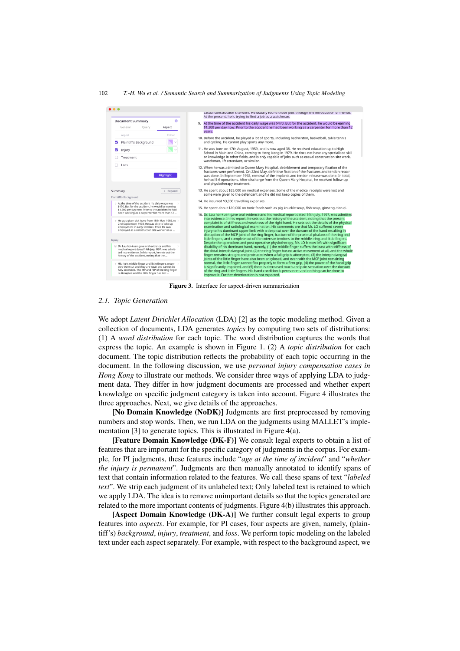

Figure 3. Interface for aspect-driven summarization

#### *2.1. Topic Generation*

We adopt *Latent Dirichlet Allocation* (LDA) [2] as the topic modeling method. Given a collection of documents, LDA generates *topics* by computing two sets of distributions: (1) A *word distribution* for each topic. The word distribution captures the words that express the topic. An example is shown in Figure 1. (2) A *topic distribution* for each document. The topic distribution reflects the probability of each topic occurring in the document. In the following discussion, we use *personal injury compensation cases in Hong Kong* to illustrate our methods. We consider three ways of applying LDA to judgment data. They differ in how judgment documents are processed and whether expert knowledge on specific judgment category is taken into account. Figure 4 illustrates the three approaches. Next, we give details of the approaches.

[No Domain Knowledge (NoDK)] Judgments are first preprocessed by removing numbers and stop words. Then, we run LDA on the judgments using MALLET's implementation [3] to generate topics. This is illustrated in Figure 4(a).

[Feature Domain Knowledge (DK-F)] We consult legal experts to obtain a list of features that are important for the specific category of judgments in the corpus. For example, for PI judgments, these features include "*age at the time of incident*" and "*whether the injury is permanent*". Judgments are then manually annotated to identify spans of text that contain information related to the features. We call these spans of text "*labeled text*". We strip each judgment of its unlabeled text; Only labeled text is retained to which we apply LDA. The idea is to remove unimportant details so that the topics generated are related to the more important contents of judgments. Figure 4(b) illustrates this approach.

[Aspect Domain Knowledge (DK-A)] We further consult legal experts to group features into *aspects*. For example, for PI cases, four aspects are given, namely, (plaintiff's) *background*, *injury*, *treatment*, and *loss*. We perform topic modeling on the labeled text under each aspect separately. For example, with respect to the background aspect, we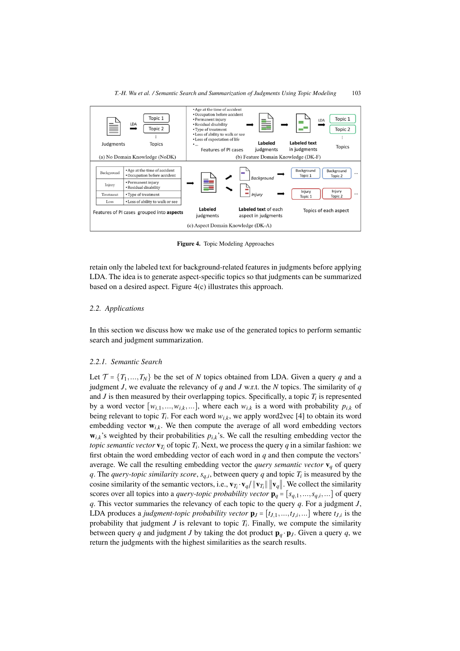

Figure 4. Topic Modeling Approaches

retain only the labeled text for background-related features in judgments before applying LDA. The idea is to generate aspect-specific topics so that judgments can be summarized based on a desired aspect. Figure 4(c) illustrates this approach.

#### *2.2. Applications*

In this section we discuss how we make use of the generated topics to perform semantic search and judgment summarization.

### *2.2.1. Semantic Search*

Let  $\mathcal{T} = \{T_1, ..., T_N\}$  be the set of *N* topics obtained from LDA. Given a query *q* and a judgment *J*, we evaluate the relevancy of *q* and *J* w.r.t. the *N* topics. The similarity of *q* and  $J$  is then measured by their overlapping topics. Specifically, a topic  $T_i$  is represented by a word vector  $[w_{i1},...,w_{i,k},...]$ , where each  $w_{i,k}$  is a word with probability  $p_{i,k}$  of being relevant to topic  $T_i$ . For each word  $w_{i,k}$ , we apply word2vec [4] to obtain its word embedding vector  $w_{i,k}$ . We then compute the average of all word embedding vectors  $w_{i,k}$ 's weighted by their probabilities  $p_{i,k}$ 's. We call the resulting embedding vector the *topic semantic vector*  $\mathbf{v}_T$  of topic  $T_i$ . Next, we process the query *q* in a similar fashion: we first obtain the word embedding vector of each word in *q* and then compute the vectors' average. We call the resulting embedding vector the *query semantic vector*  $\mathbf{v}_q$  of query *q*. The *query-topic similarity score*,  $s_{q,i}$ , between query *q* and topic  $T_i$  is measured by the cosine similarity of the semantic vectors, i.e.,  $\mathbf{v}_{T_i} \cdot \mathbf{v}_q / ||\mathbf{v}_{T_i}|| \cdot ||\mathbf{v}_q||$ . We collect the similarity scores over all topics into a *query-topic probability vector*  $\mathbf{p}_q = [s_{q,1},...,s_{q,i},...]$  of query *q*. This vector summaries the relevancy of each topic to the query *q*. For a judgment *J*, LDA produces a *judgment-topic probability vector*  $\mathbf{p}_J = [t_{J,1},...,t_{J,i},...]$  where  $t_{J,i}$  is the probability that judgment  $J$  is relevant to topic  $T_i$ . Finally, we compute the similarity between query *q* and judgment *J* by taking the dot product  $\mathbf{p}_q \cdot \mathbf{p}_J$ . Given a query *q*, we return the judgments with the highest similarities as the search results.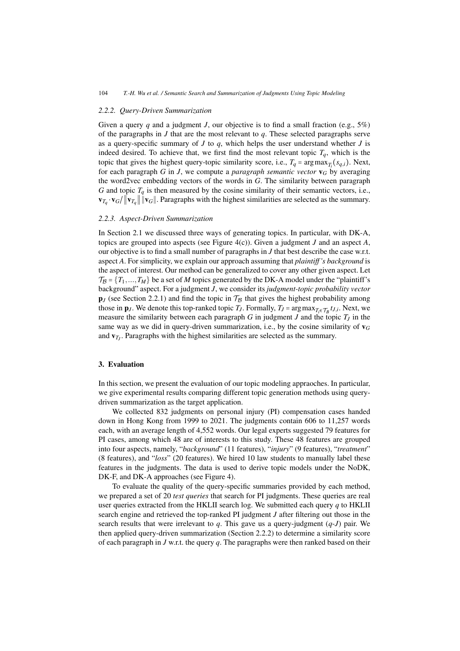#### *2.2.2. Query-Driven Summarization*

Given a query *q* and a judgment *J*, our objective is to find a small fraction (e.g.,  $5\%$ ) of the paragraphs in *J* that are the most relevant to *q*. These selected paragraphs serve as a query-specific summary of  $J$  to  $q$ , which helps the user understand whether  $J$  is indeed desired. To achieve that, we first find the most relevant topic  $T_q$ , which is the topic that gives the highest query-topic similarity score, i.e.,  $T_q = \arg \max_{T_i}(s_{q,i})$ . Next, for each paragraph *G* in *J*, we compute a *paragraph semantic vector*  $\mathbf{v}_G$  by averaging the word2vec embedding vectors of the words in *G*. The similarity between paragraph *G* and topic  $T_q$  is then measured by the cosine similarity of their semantic vectors, i.e.,  $\mathbf{v}_{T_q} \cdot \mathbf{v}_G / ||\mathbf{v}_{T_q}|| \cdot \mathbf{v}_G ||$ . Paragraphs with the highest similarities are selected as the summary.

#### *2.2.3. Aspect-Driven Summarization*

In Section 2.1 we discussed three ways of generating topics. In particular, with DK-A, topics are grouped into aspects (see Figure 4(c)). Given a judgment *J* and an aspect *A*, our objective is to find a small number of paragraphs in *J* that best describe the case w.r.t. aspect *A*. For simplicity, we explain our approach assuming that *plaintiff 's background* is the aspect of interest. Our method can be generalized to cover any other given aspect. Let  $\mathcal{T}_{\mathcal{B}} = \{T_1, ..., T_M\}$  be a set of *M* topics generated by the DK-A model under the "plaintiff's" background" aspect. For a judgment *J*, we consider its *judgment-topic probability vector*  $\mathbf{p}_J$  (see Section 2.2.1) and find the topic in  $\mathcal{T}_{\mathcal{B}}$  that gives the highest probability among those in  $\mathbf{p}_J$ . We denote this top-ranked topic *T<sub>J</sub>*. Formally, *T<sub>J</sub>* = argmax<sub>*T*<sub>i</sub>∈T<sub>B</sub> *t<sub>J</sub>*,*i*. Next, we</sub> measure the similarity between each paragraph *G* in judgment *J* and the topic *TJ* in the same way as we did in query-driven summarization, i.e., by the cosine similarity of v*<sup>G</sup>* and  $\mathbf{v}_{T}$ . Paragraphs with the highest similarities are selected as the summary.

## 3. Evaluation

In this section, we present the evaluation of our topic modeling appraoches. In particular, we give experimental results comparing different topic generation methods using querydriven summarization as the target application.

We collected 832 judgments on personal injury (PI) compensation cases handed down in Hong Kong from 1999 to 2021. The judgments contain 606 to 11,257 words each, with an average length of 4,552 words. Our legal experts suggested 79 features for PI cases, among which 48 are of interests to this study. These 48 features are grouped into four aspects, namely, "*background*" (11 features), "*injury*" (9 features), "*treatment*" (8 features), and "*loss*" (20 features). We hired 10 law students to manually label these features in the judgments. The data is used to derive topic models under the NoDK, DK-F, and DK-A approaches (see Figure 4).

To evaluate the quality of the query-specific summaries provided by each method, we prepared a set of 20 *test queries* that search for PI judgments. These queries are real user queries extracted from the HKLII search log. We submitted each query *q* to HKLII search engine and retrieved the top-ranked PI judgment *J* after filtering out those in the search results that were irrelevant to  $q$ . This gave us a query-judgment  $(q-J)$  pair. We then applied query-driven summarization (Section 2.2.2) to determine a similarity score of each paragraph in *J* w.r.t. the query *q*. The paragraphs were then ranked based on their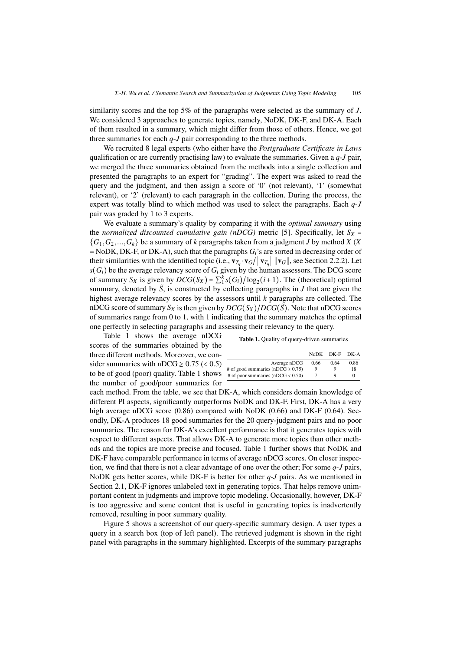similarity scores and the top 5% of the paragraphs were selected as the summary of *J*. We considered 3 approaches to generate topics, namely, NoDK, DK-F, and DK-A. Each of them resulted in a summary, which might differ from those of others. Hence, we got three summaries for each *q*-*J* pair corresponding to the three methods.

We recruited 8 legal experts (who either have the *Postgraduate Certificate in Laws* qualification or are currently practising law) to evaluate the summaries. Given a *q*-*J* pair, we merged the three summaries obtained from the methods into a single collection and presented the paragraphs to an expert for "grading". The expert was asked to read the query and the judgment, and then assign a score of '0' (not relevant), '1' (somewhat relevant), or '2' (relevant) to each paragraph in the collection. During the process, the expert was totally blind to which method was used to select the paragraphs. Each *q*-*J* pair was graded by 1 to 3 experts.

We evaluate a summary's quality by comparing it with the *optimal summary* using the *normalized discounted cumulative gain (nDCG)* metric [5]. Specifically, let  $S_X$  =  ${G_1, G_2,..., G_k}$  be a summary of *k* paragraphs taken from a judgment *J* by method *X* (*X*)  $=$  NoDK, DK-F, or DK-A), such that the paragraphs  $G_i$ 's are sorted in decreasing order of their similarities with the identified topic (i.e.,  $\mathbf{v}_{T_q} \cdot \mathbf{v}_G / ||\mathbf{v}_{T_q}|| \cdot ||\mathbf{v}_G||$ , see Section 2.2.2). Let  $s(G_i)$  be the average relevancy score of  $G_i$  given by the human assessors. The DCG score of summary *S<sub>X</sub>* is given by  $DCG(S_X) = \sum_{i=1}^{k} s(G_i)/\log_2(i+1)$ . The (theoretical) optimal summary, denoted by  $\tilde{S}$ , is constructed by collecting paragraphs in  $J$  that are given the highest average relevancy scores by the assessors until *k* paragraphs are collected. The nDCG score of summary  $S_X$  is then given by  $DCG(S_X)/DCG(\tilde{S})$ . Note that nDCG scores of summaries range from 0 to 1, with 1 indicating that the summary matches the optimal one perfectly in selecting paragraphs and assessing their relevancy to the query.

Table 1 shows the average nDCG scores of the summaries obtained by the three different methods. Moreover, we consider summaries with nDCG  $\geq$  0.75 (< 0.5) to be of good (poor) quality. Table 1 shows the number of good/poor summaries for

|  |  |  |  | <b>Table 1.</b> Quality of query-driven summaries |  |
|--|--|--|--|---------------------------------------------------|--|
|--|--|--|--|---------------------------------------------------|--|

|                                        | NoDK DK-F |      | DK-A |
|----------------------------------------|-----------|------|------|
| Average nDCG                           | 0.66      | 0.64 | 0.86 |
| # of good summaries (nDCG $\geq$ 0.75) | 9         | Q    | 18   |
| # of poor summaries ( $nDCG < 0.50$ )  |           | Q    |      |

each method. From the table, we see that DK-A, which considers domain knowledge of different PI aspects, significantly outperforms NoDK and DK-F. First, DK-A has a very high average nDCG score  $(0.86)$  compared with NoDK  $(0.66)$  and DK-F  $(0.64)$ . Secondly, DK-A produces 18 good summaries for the 20 query-judgment pairs and no poor summaries. The reason for DK-A's excellent performance is that it generates topics with respect to different aspects. That allows DK-A to generate more topics than other methods and the topics are more precise and focused. Table 1 further shows that NoDK and DK-F have comparable performance in terms of average nDCG scores. On closer inspection, we find that there is not a clear advantage of one over the other; For some *q*-*J* pairs, NoDK gets better scores, while DK-F is better for other *q*-*J* pairs. As we mentioned in Section 2.1, DK-F ignores unlabeled text in generating topics. That helps remove unimportant content in judgments and improve topic modeling. Occasionally, however, DK-F is too aggressive and some content that is useful in generating topics is inadvertently removed, resulting in poor summary quality.

Figure 5 shows a screenshot of our query-specific summary design. A user types a query in a search box (top of left panel). The retrieved judgment is shown in the right panel with paragraphs in the summary highlighted. Excerpts of the summary paragraphs